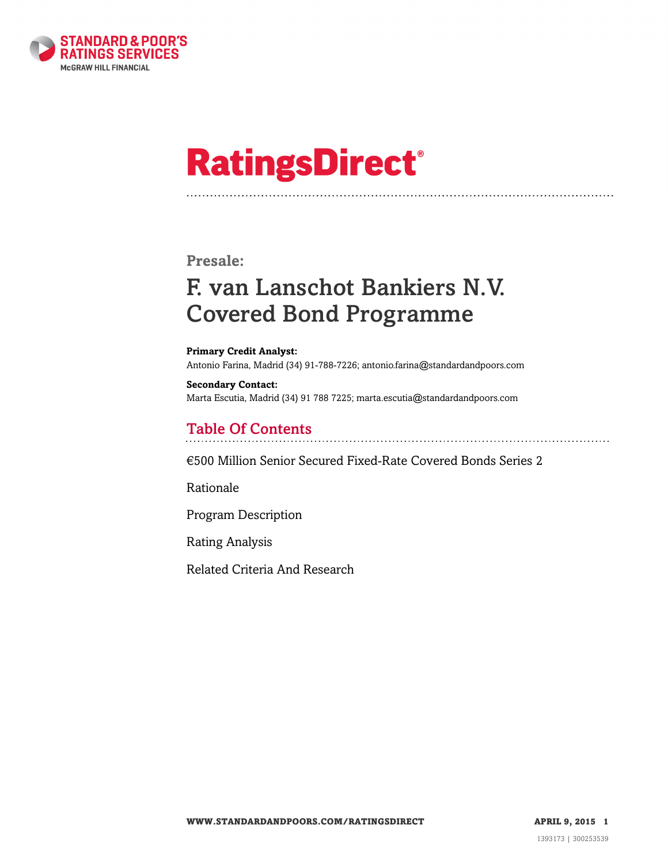

# **RatingsDirect®**

### **Presale:**

## F. van Lanschot Bankiers N.V. Covered Bond Programme

**Primary Credit Analyst:** Antonio Farina, Madrid (34) 91-788-7226; antonio.farina@standardandpoors.com

**Secondary Contact:** Marta Escutia, Madrid (34) 91 788 7225; marta.escutia@standardandpoors.com

### Table Of Contents

[€500 Million Senior Secured Fixed-Rate Covered Bonds Series 2](#page-1-0)

[Rationale](#page-2-0)

[Program Description](#page-3-0)

[Rating Analysis](#page-6-0)

[Related Criteria And Research](#page-13-0)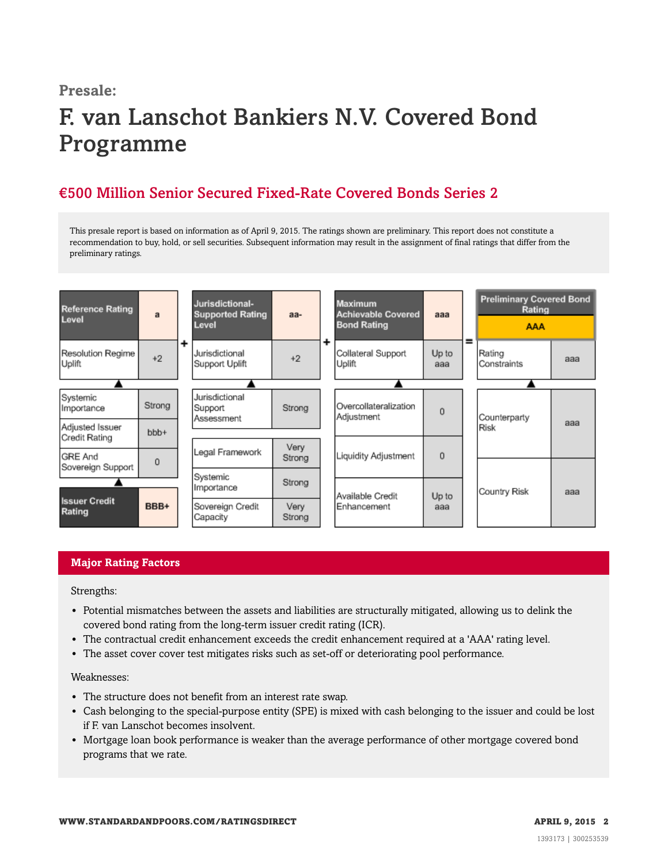## **Presale:** F. van Lanschot Bankiers N.V. Covered Bond Programme

## <span id="page-1-0"></span>€500 Million Senior Secured Fixed-Rate Covered Bonds Series 2

This presale report is based on information as of April 9, 2015. The ratings shown are preliminary. This report does not constitute a recommendation to buy, hold, or sell securities. Subsequent information may result in the assignment of final ratings that differ from the preliminary ratings.



#### **Major Rating Factors**

Strengths:

- Potential mismatches between the assets and liabilities are structurally mitigated, allowing us to delink the covered bond rating from the long-term issuer credit rating (ICR).
- The contractual credit enhancement exceeds the credit enhancement required at a 'AAA' rating level.
- The asset cover cover test mitigates risks such as set-off or deteriorating pool performance.

#### Weaknesses:

- The structure does not benefit from an interest rate swap.
- Cash belonging to the special-purpose entity (SPE) is mixed with cash belonging to the issuer and could be lost if F. van Lanschot becomes insolvent.
- Mortgage loan book performance is weaker than the average performance of other mortgage covered bond programs that we rate.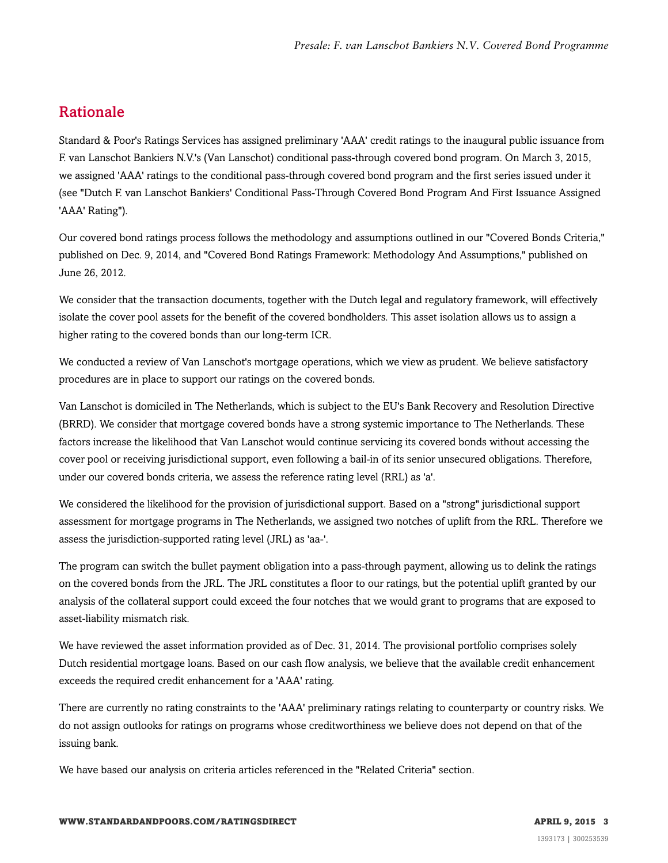## <span id="page-2-0"></span>Rationale

Standard & Poor's Ratings Services has assigned preliminary 'AAA' credit ratings to the inaugural public issuance from F. van Lanschot Bankiers N.V.'s (Van Lanschot) conditional pass-through covered bond program. On March 3, 2015, we assigned 'AAA' ratings to the conditional pass-through covered bond program and the first series issued under it (see "Dutch F. van Lanschot Bankiers' Conditional Pass-Through Covered Bond Program And First Issuance Assigned 'AAA' Rating").

Our covered bond ratings process follows the methodology and assumptions outlined in our "Covered Bonds Criteria," published on Dec. 9, 2014, and "Covered Bond Ratings Framework: Methodology And Assumptions," published on June 26, 2012.

We consider that the transaction documents, together with the Dutch legal and regulatory framework, will effectively isolate the cover pool assets for the benefit of the covered bondholders. This asset isolation allows us to assign a higher rating to the covered bonds than our long-term ICR.

We conducted a review of Van Lanschot's mortgage operations, which we view as prudent. We believe satisfactory procedures are in place to support our ratings on the covered bonds.

Van Lanschot is domiciled in The Netherlands, which is subject to the EU's Bank Recovery and Resolution Directive (BRRD). We consider that mortgage covered bonds have a strong systemic importance to The Netherlands. These factors increase the likelihood that Van Lanschot would continue servicing its covered bonds without accessing the cover pool or receiving jurisdictional support, even following a bail-in of its senior unsecured obligations. Therefore, under our covered bonds criteria, we assess the reference rating level (RRL) as 'a'.

We considered the likelihood for the provision of jurisdictional support. Based on a "strong" jurisdictional support assessment for mortgage programs in The Netherlands, we assigned two notches of uplift from the RRL. Therefore we assess the jurisdiction-supported rating level (JRL) as 'aa-'.

The program can switch the bullet payment obligation into a pass-through payment, allowing us to delink the ratings on the covered bonds from the JRL. The JRL constitutes a floor to our ratings, but the potential uplift granted by our analysis of the collateral support could exceed the four notches that we would grant to programs that are exposed to asset-liability mismatch risk.

We have reviewed the asset information provided as of Dec. 31, 2014. The provisional portfolio comprises solely Dutch residential mortgage loans. Based on our cash flow analysis, we believe that the available credit enhancement exceeds the required credit enhancement for a 'AAA' rating.

There are currently no rating constraints to the 'AAA' preliminary ratings relating to counterparty or country risks. We do not assign outlooks for ratings on programs whose creditworthiness we believe does not depend on that of the issuing bank.

We have based our analysis on criteria articles referenced in the "Related Criteria" section.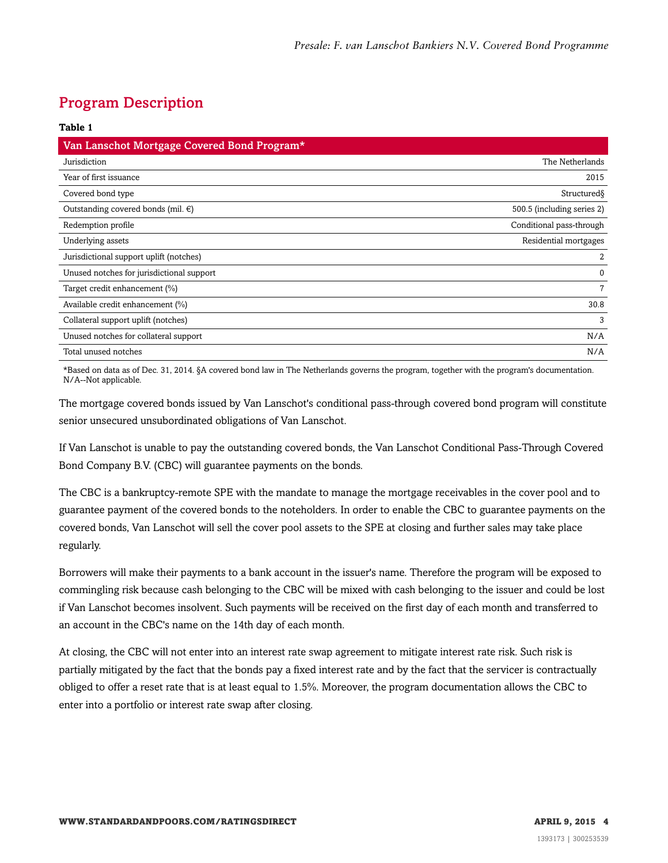## <span id="page-3-0"></span>Program Description

| Table 1                                      |                            |
|----------------------------------------------|----------------------------|
| Van Lanschot Mortgage Covered Bond Program*  |                            |
| Jurisdiction                                 | The Netherlands            |
| Year of first issuance                       | 2015                       |
| Covered bond type                            | Structured                 |
| Outstanding covered bonds (mil. $\epsilon$ ) | 500.5 (including series 2) |
| Redemption profile                           | Conditional pass-through   |
| Underlying assets                            | Residential mortgages      |
| Jurisdictional support uplift (notches)      | 2                          |
| Unused notches for jurisdictional support    | $\Omega$                   |
| Target credit enhancement (%)                | 7                          |
| Available credit enhancement (%)             | 30.8                       |
| Collateral support uplift (notches)          | 3                          |
| Unused notches for collateral support        | N/A                        |
| Total unused notches                         | N/A                        |

\*Based on data as of Dec. 31, 2014. §A covered bond law in The Netherlands governs the program, together with the program's documentation. N/A--Not applicable.

The mortgage covered bonds issued by Van Lanschot's conditional pass-through covered bond program will constitute senior unsecured unsubordinated obligations of Van Lanschot.

If Van Lanschot is unable to pay the outstanding covered bonds, the Van Lanschot Conditional Pass-Through Covered Bond Company B.V. (CBC) will guarantee payments on the bonds.

The CBC is a bankruptcy-remote SPE with the mandate to manage the mortgage receivables in the cover pool and to guarantee payment of the covered bonds to the noteholders. In order to enable the CBC to guarantee payments on the covered bonds, Van Lanschot will sell the cover pool assets to the SPE at closing and further sales may take place regularly.

Borrowers will make their payments to a bank account in the issuer's name. Therefore the program will be exposed to commingling risk because cash belonging to the CBC will be mixed with cash belonging to the issuer and could be lost if Van Lanschot becomes insolvent. Such payments will be received on the first day of each month and transferred to an account in the CBC's name on the 14th day of each month.

At closing, the CBC will not enter into an interest rate swap agreement to mitigate interest rate risk. Such risk is partially mitigated by the fact that the bonds pay a fixed interest rate and by the fact that the servicer is contractually obliged to offer a reset rate that is at least equal to 1.5%. Moreover, the program documentation allows the CBC to enter into a portfolio or interest rate swap after closing.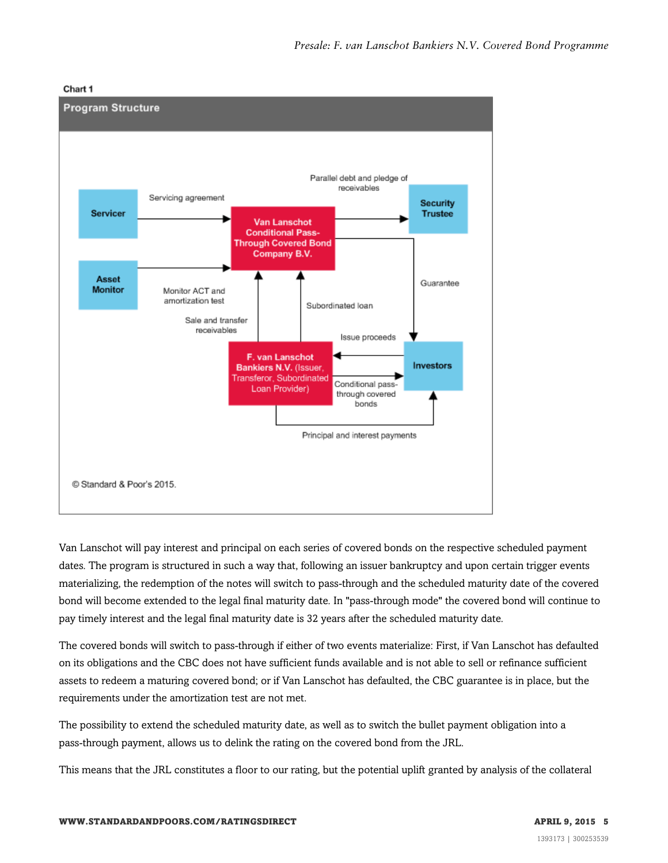



Van Lanschot will pay interest and principal on each series of covered bonds on the respective scheduled payment dates. The program is structured in such a way that, following an issuer bankruptcy and upon certain trigger events materializing, the redemption of the notes will switch to pass-through and the scheduled maturity date of the covered bond will become extended to the legal final maturity date. In "pass-through mode" the covered bond will continue to pay timely interest and the legal final maturity date is 32 years after the scheduled maturity date.

The covered bonds will switch to pass-through if either of two events materialize: First, if Van Lanschot has defaulted on its obligations and the CBC does not have sufficient funds available and is not able to sell or refinance sufficient assets to redeem a maturing covered bond; or if Van Lanschot has defaulted, the CBC guarantee is in place, but the requirements under the amortization test are not met.

The possibility to extend the scheduled maturity date, as well as to switch the bullet payment obligation into a pass-through payment, allows us to delink the rating on the covered bond from the JRL.

This means that the JRL constitutes a floor to our rating, but the potential uplift granted by analysis of the collateral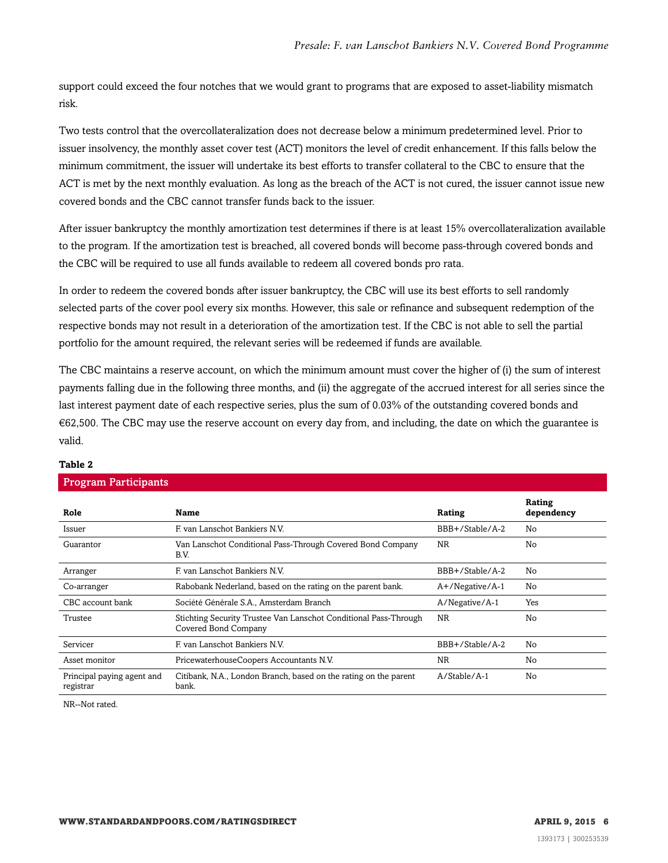support could exceed the four notches that we would grant to programs that are exposed to asset-liability mismatch risk.

Two tests control that the overcollateralization does not decrease below a minimum predetermined level. Prior to issuer insolvency, the monthly asset cover test (ACT) monitors the level of credit enhancement. If this falls below the minimum commitment, the issuer will undertake its best efforts to transfer collateral to the CBC to ensure that the ACT is met by the next monthly evaluation. As long as the breach of the ACT is not cured, the issuer cannot issue new covered bonds and the CBC cannot transfer funds back to the issuer.

After issuer bankruptcy the monthly amortization test determines if there is at least 15% overcollateralization available to the program. If the amortization test is breached, all covered bonds will become pass-through covered bonds and the CBC will be required to use all funds available to redeem all covered bonds pro rata.

In order to redeem the covered bonds after issuer bankruptcy, the CBC will use its best efforts to sell randomly selected parts of the cover pool every six months. However, this sale or refinance and subsequent redemption of the respective bonds may not result in a deterioration of the amortization test. If the CBC is not able to sell the partial portfolio for the amount required, the relevant series will be redeemed if funds are available.

The CBC maintains a reserve account, on which the minimum amount must cover the higher of (i) the sum of interest payments falling due in the following three months, and (ii) the aggregate of the accrued interest for all series since the last interest payment date of each respective series, plus the sum of 0.03% of the outstanding covered bonds and €62,500. The CBC may use the reserve account on every day from, and including, the date on which the guarantee is valid.

| <b>Program Participants</b>             |                                                                                          |                    |                      |
|-----------------------------------------|------------------------------------------------------------------------------------------|--------------------|----------------------|
| Role                                    | Name                                                                                     | Rating             | Rating<br>dependency |
| Issuer                                  | F van Lanschot Bankiers N.V.                                                             | BBB+/Stable/A-2    | No                   |
| Guarantor                               | Van Lanschot Conditional Pass-Through Covered Bond Company<br>B.V.                       | <b>NR</b>          | No                   |
| Arranger                                | F van Lanschot Bankiers N.V.                                                             | BBB+/Stable/A-2    | No                   |
| Co-arranger                             | Rabobank Nederland, based on the rating on the parent bank.                              | $A+$ /Negative/A-1 | No                   |
| CBC account bank                        | Société Générale S.A., Amsterdam Branch                                                  | A/Negative/A-1     | Yes                  |
| Trustee                                 | Stichting Security Trustee Van Lanschot Conditional Pass-Through<br>Covered Bond Company | <b>NR</b>          | No                   |
| Servicer                                | F. van Lanschot Bankiers N.V.                                                            | BBB+/Stable/A-2    | No                   |
| Asset monitor                           | PricewaterhouseCoopers Accountants N.V.                                                  | <b>NR</b>          | No                   |
| Principal paying agent and<br>registrar | Citibank, N.A., London Branch, based on the rating on the parent<br>bank.                | $A/Stable/A-1$     | No                   |

#### **Table 2**

NR--Not rated.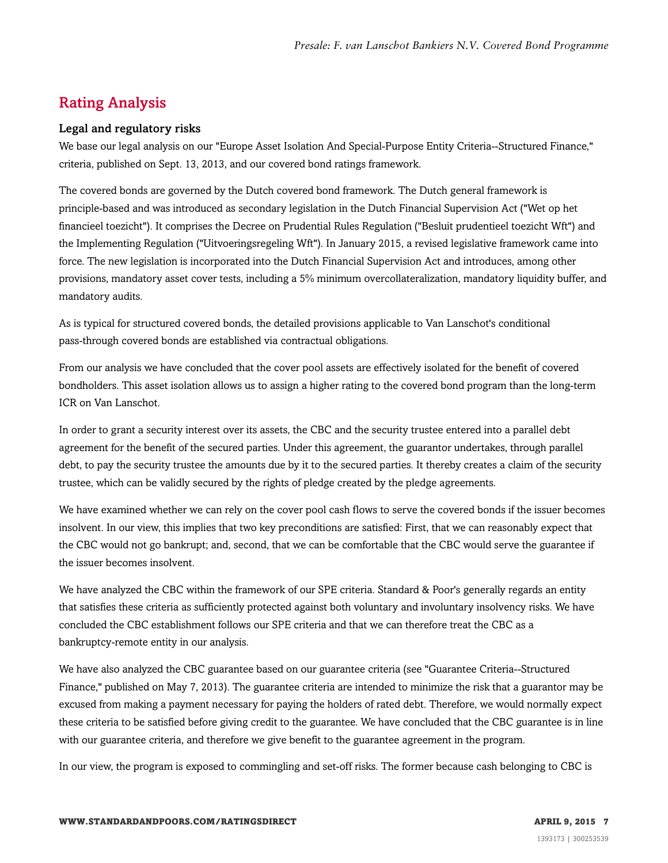## <span id="page-6-0"></span>Rating Analysis

#### Legal and regulatory risks

We base our legal analysis on our "Europe Asset Isolation And Special-Purpose Entity Criteria--Structured Finance," criteria, published on Sept. 13, 2013, and our covered bond ratings framework.

The covered bonds are governed by the Dutch covered bond framework. The Dutch general framework is principle-based and was introduced as secondary legislation in the Dutch Financial Supervision Act ("Wet op het financieel toezicht"). It comprises the Decree on Prudential Rules Regulation ("Besluit prudentieel toezicht Wft") and the Implementing Regulation ("Uitvoeringsregeling Wft"). In January 2015, a revised legislative framework came into force. The new legislation is incorporated into the Dutch Financial Supervision Act and introduces, among other provisions, mandatory asset cover tests, including a 5% minimum overcollateralization, mandatory liquidity buffer, and mandatory audits.

As is typical for structured covered bonds, the detailed provisions applicable to Van Lanschot's conditional pass-through covered bonds are established via contractual obligations.

From our analysis we have concluded that the cover pool assets are effectively isolated for the benefit of covered bondholders. This asset isolation allows us to assign a higher rating to the covered bond program than the long-term ICR on Van Lanschot.

In order to grant a security interest over its assets, the CBC and the security trustee entered into a parallel debt agreement for the benefit of the secured parties. Under this agreement, the guarantor undertakes, through parallel debt, to pay the security trustee the amounts due by it to the secured parties. It thereby creates a claim of the security trustee, which can be validly secured by the rights of pledge created by the pledge agreements.

We have examined whether we can rely on the cover pool cash flows to serve the covered bonds if the issuer becomes insolvent. In our view, this implies that two key preconditions are satisfied: First, that we can reasonably expect that the CBC would not go bankrupt; and, second, that we can be comfortable that the CBC would serve the guarantee if the issuer becomes insolvent.

We have analyzed the CBC within the framework of our SPE criteria. Standard & Poor's generally regards an entity that satisfies these criteria as sufficiently protected against both voluntary and involuntary insolvency risks. We have concluded the CBC establishment follows our SPE criteria and that we can therefore treat the CBC as a bankruptcy-remote entity in our analysis.

We have also analyzed the CBC guarantee based on our guarantee criteria (see "Guarantee Criteria--Structured Finance," published on May 7, 2013). The guarantee criteria are intended to minimize the risk that a guarantor may be excused from making a payment necessary for paying the holders of rated debt. Therefore, we would normally expect these criteria to be satisfied before giving credit to the guarantee. We have concluded that the CBC guarantee is in line with our guarantee criteria, and therefore we give benefit to the guarantee agreement in the program.

In our view, the program is exposed to commingling and set-off risks. The former because cash belonging to CBC is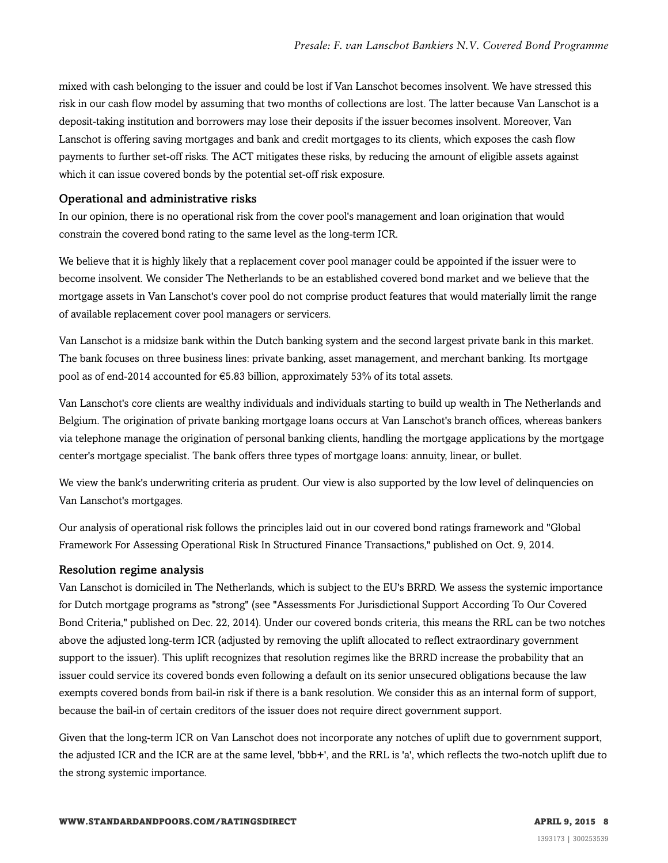mixed with cash belonging to the issuer and could be lost if Van Lanschot becomes insolvent. We have stressed this risk in our cash flow model by assuming that two months of collections are lost. The latter because Van Lanschot is a deposit-taking institution and borrowers may lose their deposits if the issuer becomes insolvent. Moreover, Van Lanschot is offering saving mortgages and bank and credit mortgages to its clients, which exposes the cash flow payments to further set-off risks. The ACT mitigates these risks, by reducing the amount of eligible assets against which it can issue covered bonds by the potential set-off risk exposure.

#### Operational and administrative risks

In our opinion, there is no operational risk from the cover pool's management and loan origination that would constrain the covered bond rating to the same level as the long-term ICR.

We believe that it is highly likely that a replacement cover pool manager could be appointed if the issuer were to become insolvent. We consider The Netherlands to be an established covered bond market and we believe that the mortgage assets in Van Lanschot's cover pool do not comprise product features that would materially limit the range of available replacement cover pool managers or servicers.

Van Lanschot is a midsize bank within the Dutch banking system and the second largest private bank in this market. The bank focuses on three business lines: private banking, asset management, and merchant banking. Its mortgage pool as of end-2014 accounted for  $\epsilon$ 5.83 billion, approximately 53% of its total assets.

Van Lanschot's core clients are wealthy individuals and individuals starting to build up wealth in The Netherlands and Belgium. The origination of private banking mortgage loans occurs at Van Lanschot's branch offices, whereas bankers via telephone manage the origination of personal banking clients, handling the mortgage applications by the mortgage center's mortgage specialist. The bank offers three types of mortgage loans: annuity, linear, or bullet.

We view the bank's underwriting criteria as prudent. Our view is also supported by the low level of delinquencies on Van Lanschot's mortgages.

Our analysis of operational risk follows the principles laid out in our covered bond ratings framework and "Global Framework For Assessing Operational Risk In Structured Finance Transactions," published on Oct. 9, 2014.

#### Resolution regime analysis

Van Lanschot is domiciled in The Netherlands, which is subject to the EU's BRRD. We assess the systemic importance for Dutch mortgage programs as "strong" (see "Assessments For Jurisdictional Support According To Our Covered Bond Criteria," published on Dec. 22, 2014). Under our covered bonds criteria, this means the RRL can be two notches above the adjusted long-term ICR (adjusted by removing the uplift allocated to reflect extraordinary government support to the issuer). This uplift recognizes that resolution regimes like the BRRD increase the probability that an issuer could service its covered bonds even following a default on its senior unsecured obligations because the law exempts covered bonds from bail-in risk if there is a bank resolution. We consider this as an internal form of support, because the bail-in of certain creditors of the issuer does not require direct government support.

Given that the long-term ICR on Van Lanschot does not incorporate any notches of uplift due to government support, the adjusted ICR and the ICR are at the same level, 'bbb+', and the RRL is 'a', which reflects the two-notch uplift due to the strong systemic importance.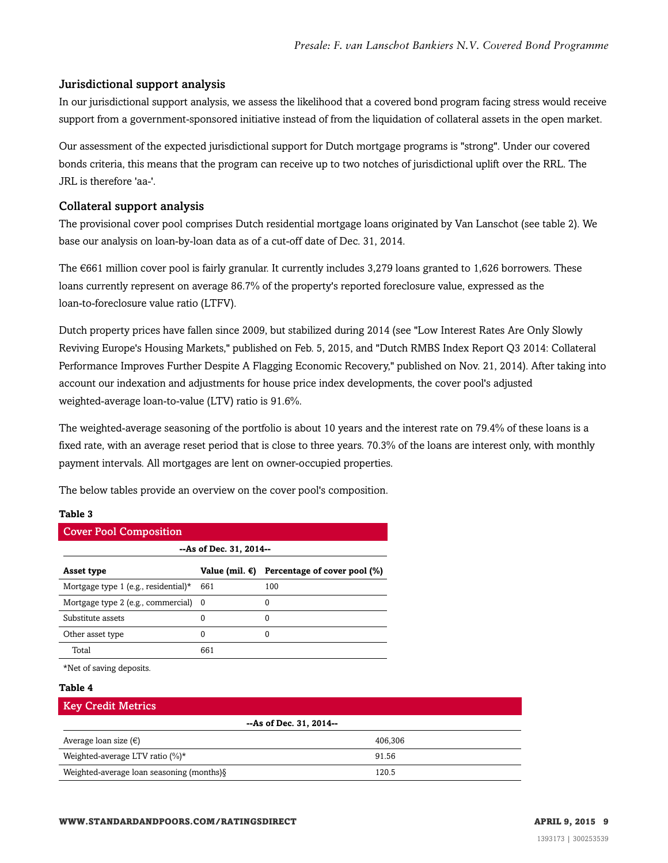#### Jurisdictional support analysis

In our jurisdictional support analysis, we assess the likelihood that a covered bond program facing stress would receive support from a government-sponsored initiative instead of from the liquidation of collateral assets in the open market.

Our assessment of the expected jurisdictional support for Dutch mortgage programs is "strong". Under our covered bonds criteria, this means that the program can receive up to two notches of jurisdictional uplift over the RRL. The JRL is therefore 'aa-'.

#### Collateral support analysis

The provisional cover pool comprises Dutch residential mortgage loans originated by Van Lanschot (see table 2). We base our analysis on loan-by-loan data as of a cut-off date of Dec. 31, 2014.

The €661 million cover pool is fairly granular. It currently includes 3,279 loans granted to 1,626 borrowers. These loans currently represent on average 86.7% of the property's reported foreclosure value, expressed as the loan-to-foreclosure value ratio (LTFV).

Dutch property prices have fallen since 2009, but stabilized during 2014 (see "Low Interest Rates Are Only Slowly Reviving Europe's Housing Markets," published on Feb. 5, 2015, and "Dutch RMBS Index Report Q3 2014: Collateral Performance Improves Further Despite A Flagging Economic Recovery," published on Nov. 21, 2014). After taking into account our indexation and adjustments for house price index developments, the cover pool's adjusted weighted-average loan-to-value (LTV) ratio is 91.6%.

The weighted-average seasoning of the portfolio is about 10 years and the interest rate on 79.4% of these loans is a fixed rate, with an average reset period that is close to three years. 70.3% of the loans are interest only, with monthly payment intervals. All mortgages are lent on owner-occupied properties.

The below tables provide an overview on the cover pool's composition.

#### **Table 3**

| <b>Cover Pool Composition</b>        |                |                              |  |
|--------------------------------------|----------------|------------------------------|--|
| --As of Dec. 31, 2014--              |                |                              |  |
| Asset type                           | Value (mil. €) | Percentage of cover pool (%) |  |
| Mortgage type 1 (e.g., residential)* | 661            | 100                          |  |
| Mortgage type 2 (e.g., commercial) 0 |                |                              |  |
| Substitute assets                    | 0              |                              |  |
| Other asset type                     | 0              |                              |  |
| Total                                | 661            |                              |  |

\*Net of saving deposits.

#### **Table 4**

| <b>Key Credit Metrics</b>                  |         |  |
|--------------------------------------------|---------|--|
| --As of Dec. 31, 2014--                    |         |  |
| Average loan size $(\epsilon)$             | 406.306 |  |
| Weighted-average LTV ratio $(\%)^*$        | 91.56   |  |
| Weighted-average loan seasoning (months) § | 120.5   |  |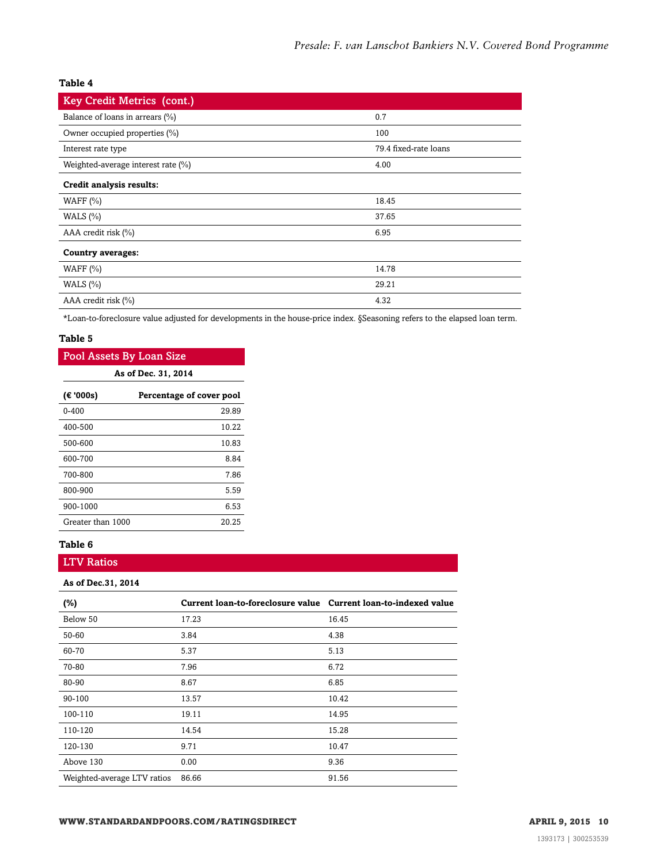#### **Table 4**

| <b>Key Credit Metrics (cont.)</b>  |                       |
|------------------------------------|-----------------------|
| Balance of loans in arrears (%)    | 0.7                   |
| Owner occupied properties (%)      | 100                   |
| Interest rate type                 | 79.4 fixed-rate loans |
| Weighted-average interest rate (%) | 4.00                  |
| Credit analysis results:           |                       |
| WAFF $(\% )$                       | 18.45                 |
| WALS $(\% )$                       | 37.65                 |
| AAA credit risk $(\%)$             | 6.95                  |
| <b>Country averages:</b>           |                       |
| WAFF $(%)$                         | 14.78                 |
| WALS $(\% )$                       | 29.21                 |
| AAA credit risk (%)                | 4.32                  |

\*Loan-to-foreclosure value adjusted for developments in the house-price index. §Seasoning refers to the elapsed loan term.

#### **Table 5**

| Pool Assets By Loan Size              |       |  |  |
|---------------------------------------|-------|--|--|
| As of Dec. 31, 2014                   |       |  |  |
| (€ '000s)<br>Percentage of cover pool |       |  |  |
| $0 - 400$                             | 29.89 |  |  |
| 400-500                               | 10.22 |  |  |
| 500-600                               | 10.83 |  |  |
| 600-700                               | 8.84  |  |  |
| 700-800                               | 7.86  |  |  |
| 800-900                               | 5.59  |  |  |
| 900-1000                              | 6.53  |  |  |
| Greater than 1000                     | 20.25 |  |  |

#### **Table 6**

#### LTV Ratios

#### **As of Dec.31, 2014**

| $(\%)$                      | Current loan-to-foreclosure value Current loan-to-indexed value |       |
|-----------------------------|-----------------------------------------------------------------|-------|
| Below 50                    | 17.23                                                           | 16.45 |
| 50-60                       | 3.84                                                            | 4.38  |
| 60-70                       | 5.37                                                            | 5.13  |
| 70-80                       | 7.96                                                            | 6.72  |
| 80-90                       | 8.67                                                            | 6.85  |
| 90-100                      | 13.57                                                           | 10.42 |
| 100-110                     | 19.11                                                           | 14.95 |
| 110-120                     | 14.54                                                           | 15.28 |
| 120-130                     | 9.71                                                            | 10.47 |
| Above 130                   | 0.00                                                            | 9.36  |
| Weighted-average LTV ratios | 86.66                                                           | 91.56 |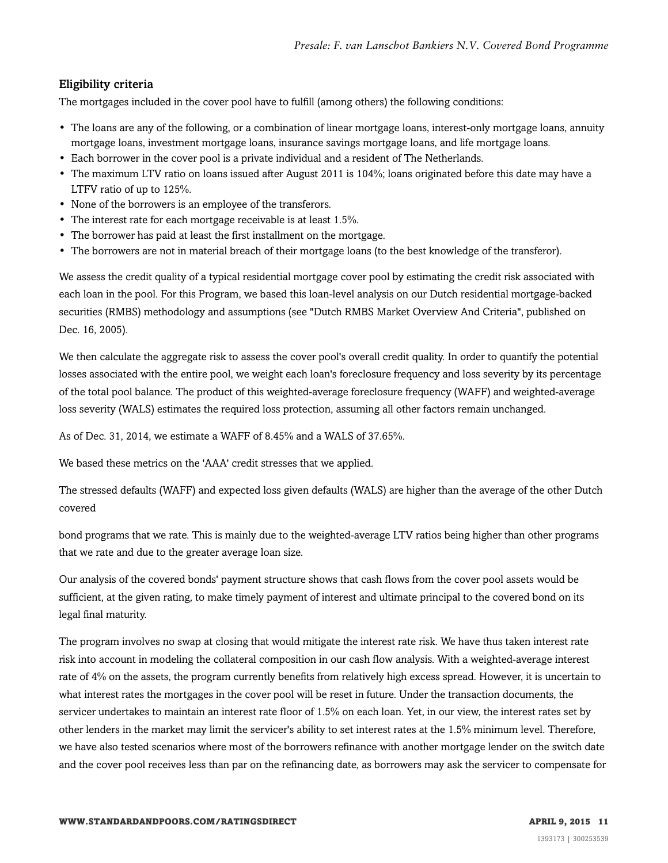#### Eligibility criteria

The mortgages included in the cover pool have to fulfill (among others) the following conditions:

- The loans are any of the following, or a combination of linear mortgage loans, interest-only mortgage loans, annuity mortgage loans, investment mortgage loans, insurance savings mortgage loans, and life mortgage loans.
- Each borrower in the cover pool is a private individual and a resident of The Netherlands.
- The maximum LTV ratio on loans issued after August 2011 is 104%; loans originated before this date may have a LTFV ratio of up to 125%.
- None of the borrowers is an employee of the transferors.
- The interest rate for each mortgage receivable is at least 1.5%.
- The borrower has paid at least the first installment on the mortgage.
- The borrowers are not in material breach of their mortgage loans (to the best knowledge of the transferor).

We assess the credit quality of a typical residential mortgage cover pool by estimating the credit risk associated with each loan in the pool. For this Program, we based this loan-level analysis on our Dutch residential mortgage-backed securities (RMBS) methodology and assumptions (see "Dutch RMBS Market Overview And Criteria", published on Dec. 16, 2005).

We then calculate the aggregate risk to assess the cover pool's overall credit quality. In order to quantify the potential losses associated with the entire pool, we weight each loan's foreclosure frequency and loss severity by its percentage of the total pool balance. The product of this weighted-average foreclosure frequency (WAFF) and weighted-average loss severity (WALS) estimates the required loss protection, assuming all other factors remain unchanged.

As of Dec. 31, 2014, we estimate a WAFF of 8.45% and a WALS of 37.65%.

We based these metrics on the 'AAA' credit stresses that we applied.

The stressed defaults (WAFF) and expected loss given defaults (WALS) are higher than the average of the other Dutch covered

bond programs that we rate. This is mainly due to the weighted-average LTV ratios being higher than other programs that we rate and due to the greater average loan size.

Our analysis of the covered bonds' payment structure shows that cash flows from the cover pool assets would be sufficient, at the given rating, to make timely payment of interest and ultimate principal to the covered bond on its legal final maturity.

The program involves no swap at closing that would mitigate the interest rate risk. We have thus taken interest rate risk into account in modeling the collateral composition in our cash flow analysis. With a weighted-average interest rate of 4% on the assets, the program currently benefits from relatively high excess spread. However, it is uncertain to what interest rates the mortgages in the cover pool will be reset in future. Under the transaction documents, the servicer undertakes to maintain an interest rate floor of 1.5% on each loan. Yet, in our view, the interest rates set by other lenders in the market may limit the servicer's ability to set interest rates at the 1.5% minimum level. Therefore, we have also tested scenarios where most of the borrowers refinance with another mortgage lender on the switch date and the cover pool receives less than par on the refinancing date, as borrowers may ask the servicer to compensate for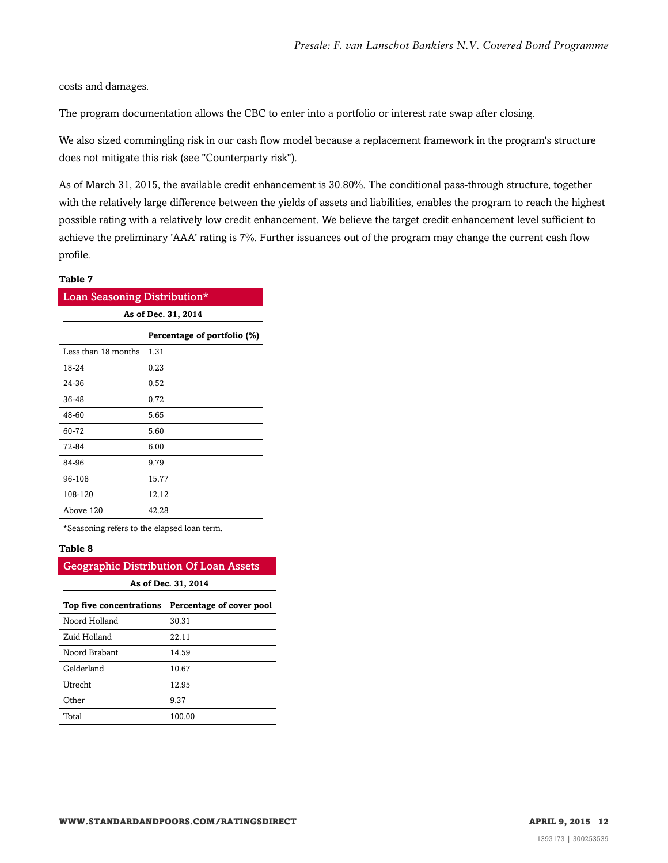costs and damages.

The program documentation allows the CBC to enter into a portfolio or interest rate swap after closing.

We also sized commingling risk in our cash flow model because a replacement framework in the program's structure does not mitigate this risk (see "Counterparty risk").

As of March 31, 2015, the available credit enhancement is 30.80%. The conditional pass-through structure, together with the relatively large difference between the yields of assets and liabilities, enables the program to reach the highest possible rating with a relatively low credit enhancement. We believe the target credit enhancement level sufficient to achieve the preliminary 'AAA' rating is 7%. Further issuances out of the program may change the current cash flow profile.

#### **Table 7**

| Loan Seasoning Distribution* |       |  |  |
|------------------------------|-------|--|--|
| As of Dec. 31, 2014          |       |  |  |
| Percentage of portfolio (%)  |       |  |  |
| Less than 18 months          | 1.31  |  |  |
| 18-24                        | 0.23  |  |  |
| 24-36                        | 0.52  |  |  |
| 36-48                        | 0.72  |  |  |
| 48-60                        | 5.65  |  |  |
| 60-72                        | 5.60  |  |  |
| 72-84                        | 6.00  |  |  |
| 84-96                        | 9.79  |  |  |
| 96-108                       | 15.77 |  |  |
| 108-120                      | 12.12 |  |  |
| Above 120                    | 42.28 |  |  |

\*Seasoning refers to the elapsed loan term.

#### **Table 8**

| <b>Geographic Distribution Of Loan Assets</b>    |        |  |  |
|--------------------------------------------------|--------|--|--|
| As of Dec. 31, 2014                              |        |  |  |
| Top five concentrations Percentage of cover pool |        |  |  |
| Noord Holland                                    | 30.31  |  |  |
| Zuid Holland                                     | 22.11  |  |  |
| Noord Brabant                                    | 14.59  |  |  |
| Gelderland                                       | 10.67  |  |  |
| Utrecht                                          | 12.95  |  |  |
| ∩ther                                            | 9.37   |  |  |
| Total                                            | 100.00 |  |  |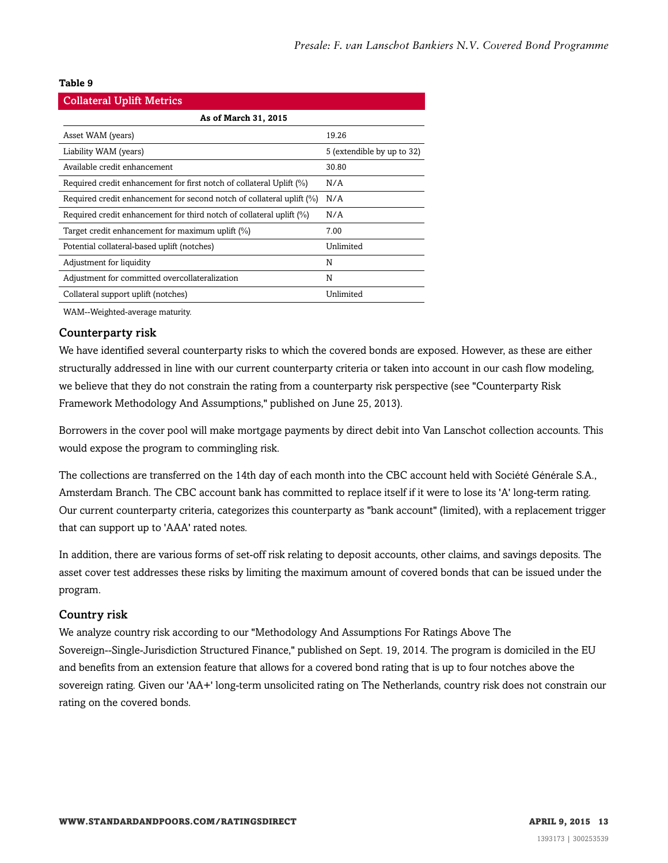#### **Table 9**

| <b>Collateral Uplift Metrics</b>                                      |                            |  |
|-----------------------------------------------------------------------|----------------------------|--|
| As of March 31, 2015                                                  |                            |  |
| Asset WAM (years)                                                     | 19.26                      |  |
| Liability WAM (years)                                                 | 5 (extendible by up to 32) |  |
| Available credit enhancement                                          | 30.80                      |  |
| Required credit enhancement for first notch of collateral Uplift (%)  | N/A                        |  |
| Required credit enhancement for second notch of collateral uplift (%) | N/A                        |  |
| Required credit enhancement for third notch of collateral uplift (%)  | N/A                        |  |
| Target credit enhancement for maximum uplift (%)                      | 7.00                       |  |
| Potential collateral-based uplift (notches)                           | Unlimited                  |  |
| Adjustment for liquidity                                              | N                          |  |
| Adjustment for committed overcollateralization                        | N                          |  |
| Collateral support uplift (notches)                                   | Unlimited                  |  |

WAM--Weighted-average maturity.

#### Counterparty risk

We have identified several counterparty risks to which the covered bonds are exposed. However, as these are either structurally addressed in line with our current counterparty criteria or taken into account in our cash flow modeling, we believe that they do not constrain the rating from a counterparty risk perspective (see "Counterparty Risk Framework Methodology And Assumptions," published on June 25, 2013).

Borrowers in the cover pool will make mortgage payments by direct debit into Van Lanschot collection accounts. This would expose the program to commingling risk.

The collections are transferred on the 14th day of each month into the CBC account held with Société Générale S.A., Amsterdam Branch. The CBC account bank has committed to replace itself if it were to lose its 'A' long-term rating. Our current counterparty criteria, categorizes this counterparty as "bank account" (limited), with a replacement trigger that can support up to 'AAA' rated notes.

In addition, there are various forms of set-off risk relating to deposit accounts, other claims, and savings deposits. The asset cover test addresses these risks by limiting the maximum amount of covered bonds that can be issued under the program.

#### Country risk

We analyze country risk according to our "Methodology And Assumptions For Ratings Above The Sovereign--Single-Jurisdiction Structured Finance," published on Sept. 19, 2014. The program is domiciled in the EU and benefits from an extension feature that allows for a covered bond rating that is up to four notches above the sovereign rating. Given our 'AA+' long-term unsolicited rating on The Netherlands, country risk does not constrain our rating on the covered bonds.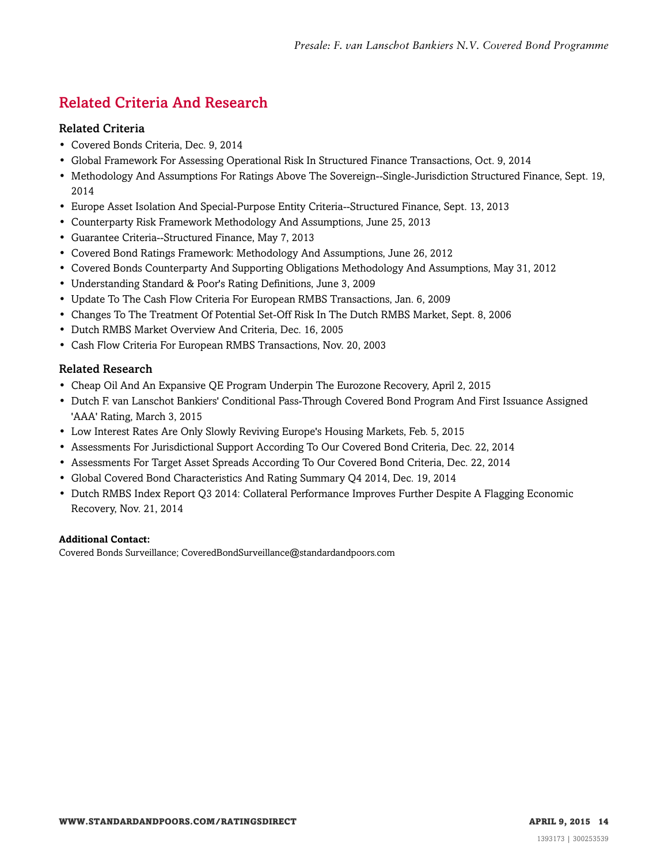## <span id="page-13-0"></span>Related Criteria And Research

#### Related Criteria

- Covered Bonds Criteria, Dec. 9, 2014
- Global Framework For Assessing Operational Risk In Structured Finance Transactions, Oct. 9, 2014
- Methodology And Assumptions For Ratings Above The Sovereign--Single-Jurisdiction Structured Finance, Sept. 19, 2014
- Europe Asset Isolation And Special-Purpose Entity Criteria--Structured Finance, Sept. 13, 2013
- Counterparty Risk Framework Methodology And Assumptions, June 25, 2013
- Guarantee Criteria--Structured Finance, May 7, 2013
- Covered Bond Ratings Framework: Methodology And Assumptions, June 26, 2012
- Covered Bonds Counterparty And Supporting Obligations Methodology And Assumptions, May 31, 2012
- Understanding Standard & Poor's Rating Definitions, June 3, 2009
- Update To The Cash Flow Criteria For European RMBS Transactions, Jan. 6, 2009
- Changes To The Treatment Of Potential Set-Off Risk In The Dutch RMBS Market, Sept. 8, 2006
- Dutch RMBS Market Overview And Criteria, Dec. 16, 2005
- Cash Flow Criteria For European RMBS Transactions, Nov. 20, 2003

#### Related Research

- Cheap Oil And An Expansive QE Program Underpin The Eurozone Recovery, April 2, 2015
- Dutch F. van Lanschot Bankiers' Conditional Pass-Through Covered Bond Program And First Issuance Assigned 'AAA' Rating, March 3, 2015
- Low Interest Rates Are Only Slowly Reviving Europe's Housing Markets, Feb. 5, 2015
- Assessments For Jurisdictional Support According To Our Covered Bond Criteria, Dec. 22, 2014
- Assessments For Target Asset Spreads According To Our Covered Bond Criteria, Dec. 22, 2014
- Global Covered Bond Characteristics And Rating Summary Q4 2014, Dec. 19, 2014
- Dutch RMBS Index Report Q3 2014: Collateral Performance Improves Further Despite A Flagging Economic Recovery, Nov. 21, 2014

#### **Additional Contact:**

Covered Bonds Surveillance; CoveredBondSurveillance@standardandpoors.com